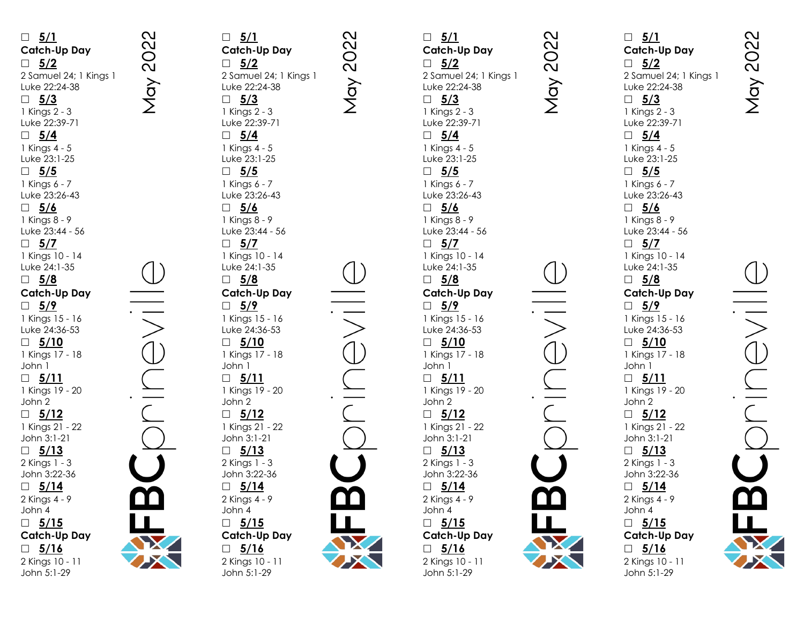**5/1 Catch -Up Day 5/2** 2 Samuel 24; 1 Kings 1 Luke 22:24 -38 **5/3** 1 Kings 2 - 3 Luke 22:39 -71 **5/4** 1 Kings 4 - 5 Luke 23:1 -25 **5/5** 1 Kings 6 - 7 Luke 23:26 -43 **5/6** 1 Kings 8 - 9 Luke 23:44 - 56 **5/7** 1 Kings 10 - 14 Luke 24:1 -35 **5/8 Catch -Up Day 5/9** 1 Kings 15 - 16 Luke 24:36 -53 **5/10** 1 Kings 17 - 18 John 1 **5/11** 1 Kings 19 - 20 John 2 **5/12** 1 Kings 21 - 22 John 3:1 -21 **5/13** 2 Kings 1 - 3 John 3:22 -36 **5/14** 2 Kings 4 - 9 John 4 **5/15 Catch -Up Day 5/16** 2 Kings 10 - 11 John 5:1 -29

 **5/1 Catch -Up Day 5/2** 2 Samuel 24; 1 Kings 1 Luke 22:24 -38 **5/3** 1 Kings 2 - 3 Luke 22:39 -71 **5/4** 1 Kings 4 - 5 Luke 23:1 -25 **5/5** 1 Kings 6 - 7 Luke 23:26 -43 **5/6** 1 Kings 8 - 9 Luke 23:44 - 56 **5/7** 1 Kings 10 - 14 Luke 24:1 -35 **5/8 Catch -Up Day 5/9** 1 Kings 15 - 16 Luke 24:36 -53 **5/10** 1 Kings 17 - 18 John 1 **5/11** 1 Kings 19 - 20 John 2 **5/12** 1 Kings 21 - 22 John 3:1 -21 **5/13** 2 Kings 1 - 3 John 3:22 -36 **5/14** 2 Kings 4 - 9 John 4 **5/15 Catch -Up Day 5/16** 2 Kings 10 - 11

**May 2022** 

John 5:1 -29

May 2022

 **5/1 Catch -Up Day 5/2** 2 Samuel 24; 1 Kings 1 Luke 22:24 -38 **5/3** 1 Kings 2 - 3 Luke 22:39 -71 **5/4** 1 Kings 4 - 5 Luke 23:1 -25 **5/5** 1 Kings 6 - 7 Luke 23:26 -43 **5/6** 1 Kings 8 - 9 Luke 23:44 - 56 **5/7** 1 Kings 10 - 14 Luke 24:1 -35 **5/8 Catch -Up Day 5/9** 1 Kings 15 - 16 Luke 24:36 -53 **5/10** 1 Kings 17 - 18 John 1 **5/11** 1 Kings 19 - 20 John 2 **5/12** 1 Kings 21 - 22 John 3:1 -21 **5/13** 2 Kings 1 - 3 John 3:22 -36 **5/14** 2 Kings 4 - 9 John 4 **5/15 Catch -Up Day 5/16** 2 Kings 10 - 11 John 5:1 -29



2022

May

**Catch -Up Day** 2 Samuel 24; 1 Kings 1 Luke 22:24 -38 1 Kings 2 - 3 Luke 22:39 -71 1 Kings 4 - 5 Luke 23:1 -25 1 Kings 6 - 7 Luke 23:26 -43 1 Kings 8 - 9 Luke 23:44 - 56 1 Kings 10 - 14 Luke 24:1 -35 **Catch -Up Day** 1 Kings 15 - 16 Luke 24:36 -53 1 Kings 17 - 18 1 Kings 19 - 20 1 Kings 21 - 22 John 3:1 -21 2 Kings 1 - 3 John 3:22 -36 2 Kings 4 - 9 **Catch -Up Day** 2 Kings 10 - 11 John 5:1 -29

**May 2022** 

NOVE

SCOT